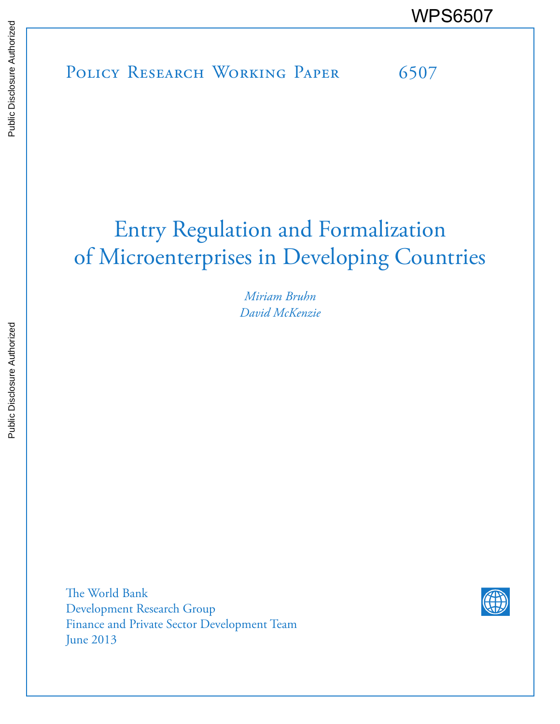POLICY RESEARCH WORKING PAPER 6507 WPS6507

# Entry Regulation and Formalization of Microenterprises in Developing Countries

*Miriam Bruhn David McKenzie*

The World Bank Development Research Group Finance and Private Sector Development Team June 2013

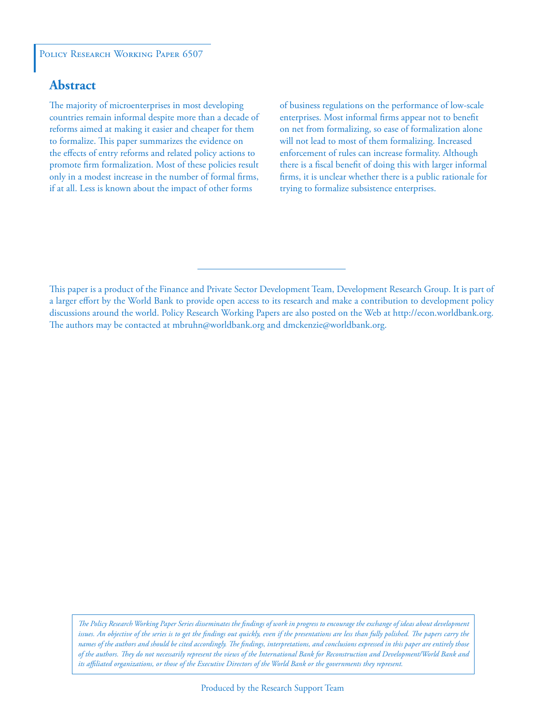### POLICY RESEARCH WORKING PAPER 6507

## **Abstract**

The majority of microenterprises in most developing countries remain informal despite more than a decade of reforms aimed at making it easier and cheaper for them to formalize. This paper summarizes the evidence on the effects of entry reforms and related policy actions to promote firm formalization. Most of these policies result only in a modest increase in the number of formal firms, if at all. Less is known about the impact of other forms

of business regulations on the performance of low-scale enterprises. Most informal firms appear not to benefit on net from formalizing, so ease of formalization alone will not lead to most of them formalizing. Increased enforcement of rules can increase formality. Although there is a fiscal benefit of doing this with larger informal firms, it is unclear whether there is a public rationale for trying to formalize subsistence enterprises.

This paper is a product of the Finance and Private Sector Development Team, Development Research Group. It is part of a larger effort by the World Bank to provide open access to its research and make a contribution to development policy discussions around the world. Policy Research Working Papers are also posted on the Web at http://econ.worldbank.org. The authors may be contacted at mbruhn@worldbank.org and dmckenzie@worldbank.org.

*The Policy Research Working Paper Series disseminates the findings of work in progress to encourage the exchange of ideas about development*  issues. An objective of the series is to get the findings out quickly, even if the presentations are less than fully polished. The papers carry the *names of the authors and should be cited accordingly. The findings, interpretations, and conclusions expressed in this paper are entirely those of the authors. They do not necessarily represent the views of the International Bank for Reconstruction and Development/World Bank and its affiliated organizations, or those of the Executive Directors of the World Bank or the governments they represent.*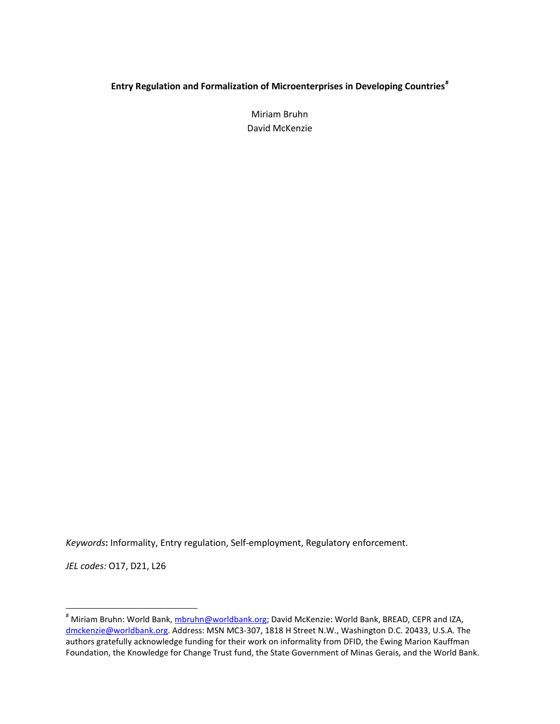## **Entry Regulation and Formalization of Microenterprises in Developing Countries#**

Miriam Bruhn David McKenzie

*Keywords***:** Informality, Entry regulation, Self-employment, Regulatory enforcement.

*JEL codes:* O17, D21, L26

 $\overline{\phantom{a}}$ 

<sup>#</sup> Miriam Bruhn: World Bank, mbruhn@worldbank.org; David McKenzie: World Bank, BREAD, CEPR and IZA, dmckenzie@worldbank.org. Address: MSN MC3-307, 1818 H Street N.W., Washington D.C. 20433, U.S.A. The authors gratefully acknowledge funding for their work on informality from DFID, the Ewing Marion Kauffman Foundation, the Knowledge for Change Trust fund, the State Government of Minas Gerais, and the World Bank.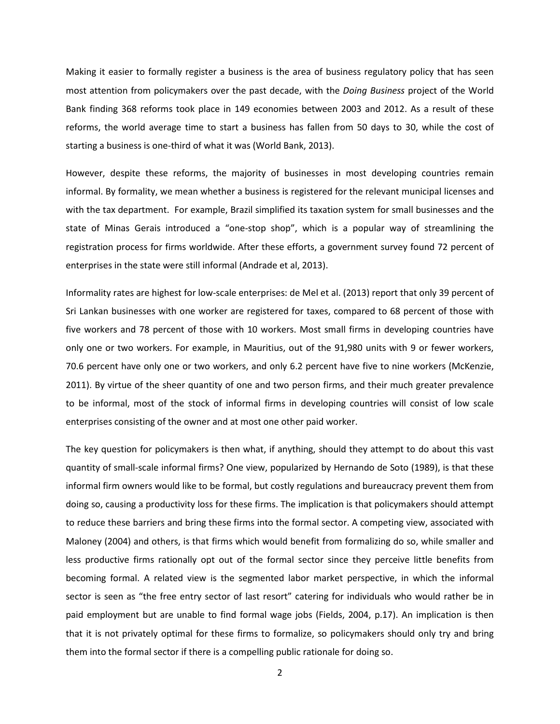Making it easier to formally register a business is the area of business regulatory policy that has seen most attention from policymakers over the past decade, with the *Doing Business* project of the World Bank finding 368 reforms took place in 149 economies between 2003 and 2012. As a result of these reforms, the world average time to start a business has fallen from 50 days to 30, while the cost of starting a business is one-third of what it was (World Bank, 2013).

However, despite these reforms, the majority of businesses in most developing countries remain informal. By formality, we mean whether a business is registered for the relevant municipal licenses and with the tax department. For example, Brazil simplified its taxation system for small businesses and the state of Minas Gerais introduced a "one-stop shop", which is a popular way of streamlining the registration process for firms worldwide. After these efforts, a government survey found 72 percent of enterprises in the state were still informal (Andrade et al, 2013).

Informality rates are highest for low-scale enterprises: de Mel et al. (2013) report that only 39 percent of Sri Lankan businesses with one worker are registered for taxes, compared to 68 percent of those with five workers and 78 percent of those with 10 workers. Most small firms in developing countries have only one or two workers. For example, in Mauritius, out of the 91,980 units with 9 or fewer workers, 70.6 percent have only one or two workers, and only 6.2 percent have five to nine workers (McKenzie, 2011). By virtue of the sheer quantity of one and two person firms, and their much greater prevalence to be informal, most of the stock of informal firms in developing countries will consist of low scale enterprises consisting of the owner and at most one other paid worker.

The key question for policymakers is then what, if anything, should they attempt to do about this vast quantity of small-scale informal firms? One view, popularized by Hernando de Soto (1989), is that these informal firm owners would like to be formal, but costly regulations and bureaucracy prevent them from doing so, causing a productivity loss for these firms. The implication is that policymakers should attempt to reduce these barriers and bring these firms into the formal sector. A competing view, associated with Maloney (2004) and others, is that firms which would benefit from formalizing do so, while smaller and less productive firms rationally opt out of the formal sector since they perceive little benefits from becoming formal. A related view is the segmented labor market perspective, in which the informal sector is seen as "the free entry sector of last resort" catering for individuals who would rather be in paid employment but are unable to find formal wage jobs (Fields, 2004, p.17). An implication is then that it is not privately optimal for these firms to formalize, so policymakers should only try and bring them into the formal sector if there is a compelling public rationale for doing so.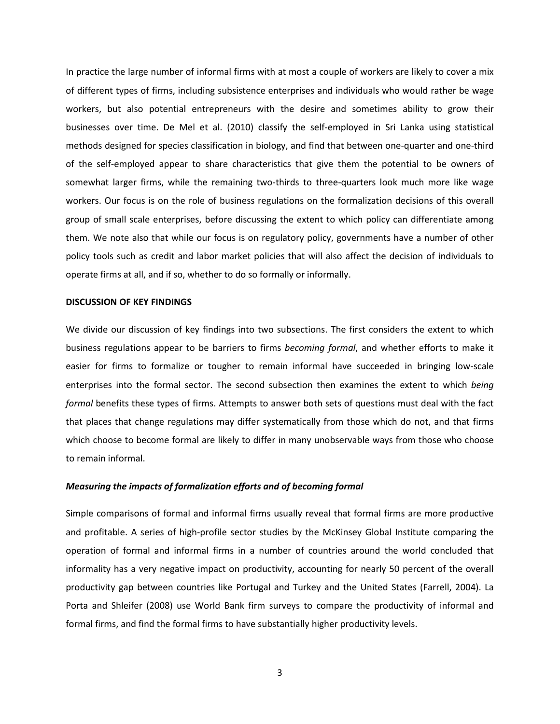In practice the large number of informal firms with at most a couple of workers are likely to cover a mix of different types of firms, including subsistence enterprises and individuals who would rather be wage workers, but also potential entrepreneurs with the desire and sometimes ability to grow their businesses over time. De Mel et al. (2010) classify the self-employed in Sri Lanka using statistical methods designed for species classification in biology, and find that between one-quarter and one-third of the self-employed appear to share characteristics that give them the potential to be owners of somewhat larger firms, while the remaining two-thirds to three-quarters look much more like wage workers. Our focus is on the role of business regulations on the formalization decisions of this overall group of small scale enterprises, before discussing the extent to which policy can differentiate among them. We note also that while our focus is on regulatory policy, governments have a number of other policy tools such as credit and labor market policies that will also affect the decision of individuals to operate firms at all, and if so, whether to do so formally or informally.

#### **DISCUSSION OF KEY FINDINGS**

We divide our discussion of key findings into two subsections. The first considers the extent to which business regulations appear to be barriers to firms *becoming formal*, and whether efforts to make it easier for firms to formalize or tougher to remain informal have succeeded in bringing low-scale enterprises into the formal sector. The second subsection then examines the extent to which *being formal* benefits these types of firms. Attempts to answer both sets of questions must deal with the fact that places that change regulations may differ systematically from those which do not, and that firms which choose to become formal are likely to differ in many unobservable ways from those who choose to remain informal.

#### *Measuring the impacts of formalization efforts and of becoming formal*

Simple comparisons of formal and informal firms usually reveal that formal firms are more productive and profitable. A series of high-profile sector studies by the McKinsey Global Institute comparing the operation of formal and informal firms in a number of countries around the world concluded that informality has a very negative impact on productivity, accounting for nearly 50 percent of the overall productivity gap between countries like Portugal and Turkey and the United States (Farrell, 2004). La Porta and Shleifer (2008) use World Bank firm surveys to compare the productivity of informal and formal firms, and find the formal firms to have substantially higher productivity levels.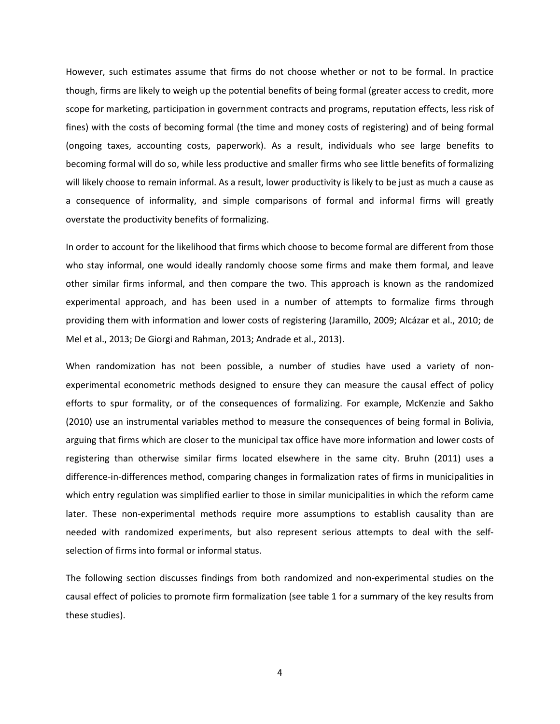However, such estimates assume that firms do not choose whether or not to be formal. In practice though, firms are likely to weigh up the potential benefits of being formal (greater access to credit, more scope for marketing, participation in government contracts and programs, reputation effects, less risk of fines) with the costs of becoming formal (the time and money costs of registering) and of being formal (ongoing taxes, accounting costs, paperwork). As a result, individuals who see large benefits to becoming formal will do so, while less productive and smaller firms who see little benefits of formalizing will likely choose to remain informal. As a result, lower productivity is likely to be just as much a cause as a consequence of informality, and simple comparisons of formal and informal firms will greatly overstate the productivity benefits of formalizing.

In order to account for the likelihood that firms which choose to become formal are different from those who stay informal, one would ideally randomly choose some firms and make them formal, and leave other similar firms informal, and then compare the two. This approach is known as the randomized experimental approach, and has been used in a number of attempts to formalize firms through providing them with information and lower costs of registering (Jaramillo, 2009; Alcázar et al., 2010; de Mel et al., 2013; De Giorgi and Rahman, 2013; Andrade et al., 2013).

When randomization has not been possible, a number of studies have used a variety of nonexperimental econometric methods designed to ensure they can measure the causal effect of policy efforts to spur formality, or of the consequences of formalizing. For example, McKenzie and Sakho (2010) use an instrumental variables method to measure the consequences of being formal in Bolivia, arguing that firms which are closer to the municipal tax office have more information and lower costs of registering than otherwise similar firms located elsewhere in the same city. Bruhn (2011) uses a difference-in-differences method, comparing changes in formalization rates of firms in municipalities in which entry regulation was simplified earlier to those in similar municipalities in which the reform came later. These non-experimental methods require more assumptions to establish causality than are needed with randomized experiments, but also represent serious attempts to deal with the selfselection of firms into formal or informal status.

The following section discusses findings from both randomized and non-experimental studies on the causal effect of policies to promote firm formalization (see table 1 for a summary of the key results from these studies).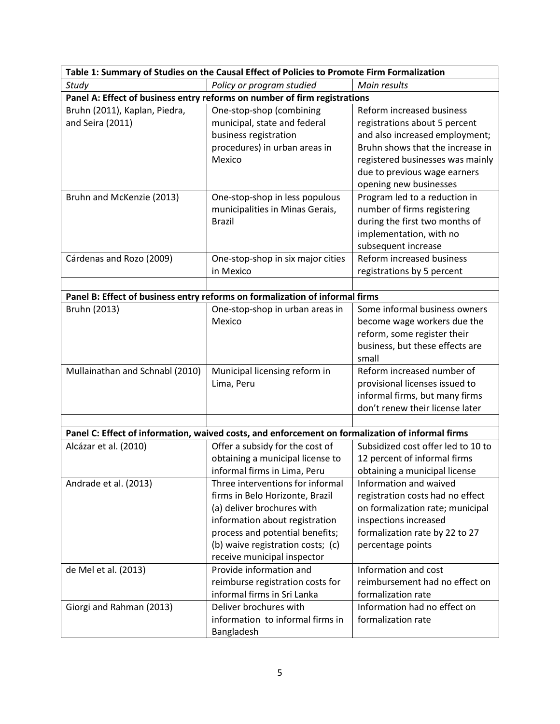| Table 1: Summary of Studies on the Causal Effect of Policies to Promote Firm Formalization       |                                   |                                    |
|--------------------------------------------------------------------------------------------------|-----------------------------------|------------------------------------|
| Study                                                                                            | Policy or program studied         | Main results                       |
| Panel A: Effect of business entry reforms on number of firm registrations                        |                                   |                                    |
| Bruhn (2011), Kaplan, Piedra,                                                                    | One-stop-shop (combining          | Reform increased business          |
| and Seira (2011)                                                                                 | municipal, state and federal      | registrations about 5 percent      |
|                                                                                                  | business registration             | and also increased employment;     |
|                                                                                                  | procedures) in urban areas in     | Bruhn shows that the increase in   |
|                                                                                                  | Mexico                            | registered businesses was mainly   |
|                                                                                                  |                                   | due to previous wage earners       |
|                                                                                                  |                                   | opening new businesses             |
| Bruhn and McKenzie (2013)                                                                        | One-stop-shop in less populous    | Program led to a reduction in      |
|                                                                                                  | municipalities in Minas Gerais,   | number of firms registering        |
|                                                                                                  | <b>Brazil</b>                     | during the first two months of     |
|                                                                                                  |                                   | implementation, with no            |
|                                                                                                  |                                   | subsequent increase                |
| Cárdenas and Rozo (2009)                                                                         | One-stop-shop in six major cities | Reform increased business          |
|                                                                                                  | in Mexico                         | registrations by 5 percent         |
|                                                                                                  |                                   |                                    |
| Panel B: Effect of business entry reforms on formalization of informal firms                     |                                   |                                    |
| Bruhn (2013)                                                                                     | One-stop-shop in urban areas in   | Some informal business owners      |
|                                                                                                  | Mexico                            | become wage workers due the        |
|                                                                                                  |                                   | reform, some register their        |
|                                                                                                  |                                   | business, but these effects are    |
|                                                                                                  |                                   | small                              |
| Mullainathan and Schnabl (2010)                                                                  | Municipal licensing reform in     | Reform increased number of         |
|                                                                                                  | Lima, Peru                        | provisional licenses issued to     |
|                                                                                                  |                                   | informal firms, but many firms     |
|                                                                                                  |                                   | don't renew their license later    |
| Panel C: Effect of information, waived costs, and enforcement on formalization of informal firms |                                   |                                    |
| Alcázar et al. (2010)                                                                            | Offer a subsidy for the cost of   | Subsidized cost offer led to 10 to |
|                                                                                                  | obtaining a municipal license to  | 12 percent of informal firms       |
|                                                                                                  | informal firms in Lima, Peru      | obtaining a municipal license      |
| Andrade et al. (2013)                                                                            | Three interventions for informal  | Information and waived             |
|                                                                                                  | firms in Belo Horizonte, Brazil   | registration costs had no effect   |
|                                                                                                  | (a) deliver brochures with        | on formalization rate; municipal   |
|                                                                                                  | information about registration    | inspections increased              |
|                                                                                                  | process and potential benefits;   | formalization rate by 22 to 27     |
|                                                                                                  | (b) waive registration costs; (c) | percentage points                  |
|                                                                                                  | receive municipal inspector       |                                    |
| de Mel et al. (2013)                                                                             | Provide information and           | Information and cost               |
|                                                                                                  | reimburse registration costs for  | reimbursement had no effect on     |
|                                                                                                  | informal firms in Sri Lanka       | formalization rate                 |
| Giorgi and Rahman (2013)                                                                         | Deliver brochures with            | Information had no effect on       |
|                                                                                                  | information to informal firms in  | formalization rate                 |
|                                                                                                  | Bangladesh                        |                                    |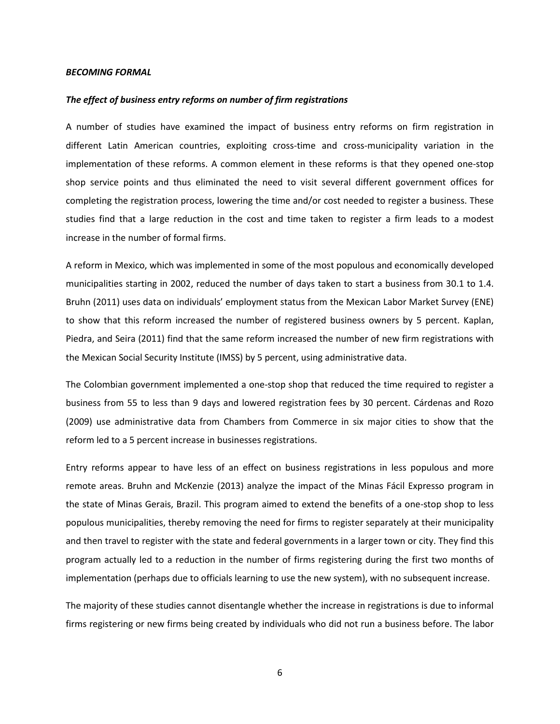#### *BECOMING FORMAL*

#### *The effect of business entry reforms on number of firm registrations*

A number of studies have examined the impact of business entry reforms on firm registration in different Latin American countries, exploiting cross-time and cross-municipality variation in the implementation of these reforms. A common element in these reforms is that they opened one-stop shop service points and thus eliminated the need to visit several different government offices for completing the registration process, lowering the time and/or cost needed to register a business. These studies find that a large reduction in the cost and time taken to register a firm leads to a modest increase in the number of formal firms.

A reform in Mexico, which was implemented in some of the most populous and economically developed municipalities starting in 2002, reduced the number of days taken to start a business from 30.1 to 1.4. Bruhn (2011) uses data on individuals' employment status from the Mexican Labor Market Survey (ENE) to show that this reform increased the number of registered business owners by 5 percent. Kaplan, Piedra, and Seira (2011) find that the same reform increased the number of new firm registrations with the Mexican Social Security Institute (IMSS) by 5 percent, using administrative data.

The Colombian government implemented a one-stop shop that reduced the time required to register a business from 55 to less than 9 days and lowered registration fees by 30 percent. Cárdenas and Rozo (2009) use administrative data from Chambers from Commerce in six major cities to show that the reform led to a 5 percent increase in businesses registrations.

Entry reforms appear to have less of an effect on business registrations in less populous and more remote areas. Bruhn and McKenzie (2013) analyze the impact of the Minas Fácil Expresso program in the state of Minas Gerais, Brazil. This program aimed to extend the benefits of a one-stop shop to less populous municipalities, thereby removing the need for firms to register separately at their municipality and then travel to register with the state and federal governments in a larger town or city. They find this program actually led to a reduction in the number of firms registering during the first two months of implementation (perhaps due to officials learning to use the new system), with no subsequent increase.

The majority of these studies cannot disentangle whether the increase in registrations is due to informal firms registering or new firms being created by individuals who did not run a business before. The labor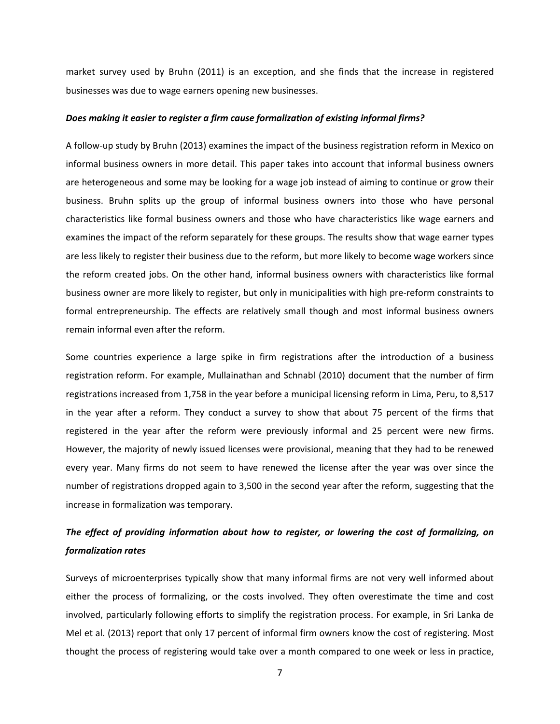market survey used by Bruhn (2011) is an exception, and she finds that the increase in registered businesses was due to wage earners opening new businesses.

#### *Does making it easier to register a firm cause formalization of existing informal firms?*

A follow-up study by Bruhn (2013) examines the impact of the business registration reform in Mexico on informal business owners in more detail. This paper takes into account that informal business owners are heterogeneous and some may be looking for a wage job instead of aiming to continue or grow their business. Bruhn splits up the group of informal business owners into those who have personal characteristics like formal business owners and those who have characteristics like wage earners and examines the impact of the reform separately for these groups. The results show that wage earner types are less likely to register their business due to the reform, but more likely to become wage workers since the reform created jobs. On the other hand, informal business owners with characteristics like formal business owner are more likely to register, but only in municipalities with high pre-reform constraints to formal entrepreneurship. The effects are relatively small though and most informal business owners remain informal even after the reform.

Some countries experience a large spike in firm registrations after the introduction of a business registration reform. For example, Mullainathan and Schnabl (2010) document that the number of firm registrations increased from 1,758 in the year before a municipal licensing reform in Lima, Peru, to 8,517 in the year after a reform. They conduct a survey to show that about 75 percent of the firms that registered in the year after the reform were previously informal and 25 percent were new firms. However, the majority of newly issued licenses were provisional, meaning that they had to be renewed every year. Many firms do not seem to have renewed the license after the year was over since the number of registrations dropped again to 3,500 in the second year after the reform, suggesting that the increase in formalization was temporary.

# *The effect of providing information about how to register, or lowering the cost of formalizing, on formalization rates*

Surveys of microenterprises typically show that many informal firms are not very well informed about either the process of formalizing, or the costs involved. They often overestimate the time and cost involved, particularly following efforts to simplify the registration process. For example, in Sri Lanka de Mel et al. (2013) report that only 17 percent of informal firm owners know the cost of registering. Most thought the process of registering would take over a month compared to one week or less in practice,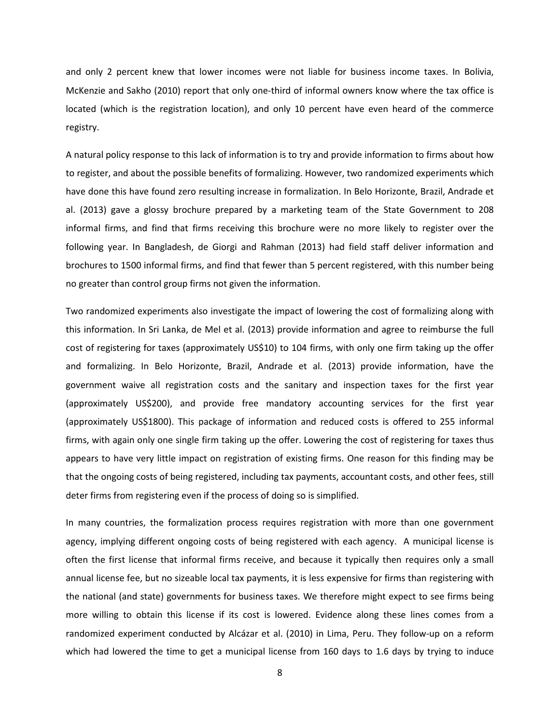and only 2 percent knew that lower incomes were not liable for business income taxes. In Bolivia, McKenzie and Sakho (2010) report that only one-third of informal owners know where the tax office is located (which is the registration location), and only 10 percent have even heard of the commerce registry.

A natural policy response to this lack of information is to try and provide information to firms about how to register, and about the possible benefits of formalizing. However, two randomized experiments which have done this have found zero resulting increase in formalization. In Belo Horizonte, Brazil, Andrade et al. (2013) gave a glossy brochure prepared by a marketing team of the State Government to 208 informal firms, and find that firms receiving this brochure were no more likely to register over the following year. In Bangladesh, de Giorgi and Rahman (2013) had field staff deliver information and brochures to 1500 informal firms, and find that fewer than 5 percent registered, with this number being no greater than control group firms not given the information.

Two randomized experiments also investigate the impact of lowering the cost of formalizing along with this information. In Sri Lanka, de Mel et al. (2013) provide information and agree to reimburse the full cost of registering for taxes (approximately US\$10) to 104 firms, with only one firm taking up the offer and formalizing. In Belo Horizonte, Brazil, Andrade et al. (2013) provide information, have the government waive all registration costs and the sanitary and inspection taxes for the first year (approximately US\$200), and provide free mandatory accounting services for the first year (approximately US\$1800). This package of information and reduced costs is offered to 255 informal firms, with again only one single firm taking up the offer. Lowering the cost of registering for taxes thus appears to have very little impact on registration of existing firms. One reason for this finding may be that the ongoing costs of being registered, including tax payments, accountant costs, and other fees, still deter firms from registering even if the process of doing so is simplified.

In many countries, the formalization process requires registration with more than one government agency, implying different ongoing costs of being registered with each agency. A municipal license is often the first license that informal firms receive, and because it typically then requires only a small annual license fee, but no sizeable local tax payments, it is less expensive for firms than registering with the national (and state) governments for business taxes. We therefore might expect to see firms being more willing to obtain this license if its cost is lowered. Evidence along these lines comes from a randomized experiment conducted by Alcázar et al. (2010) in Lima, Peru. They follow-up on a reform which had lowered the time to get a municipal license from 160 days to 1.6 days by trying to induce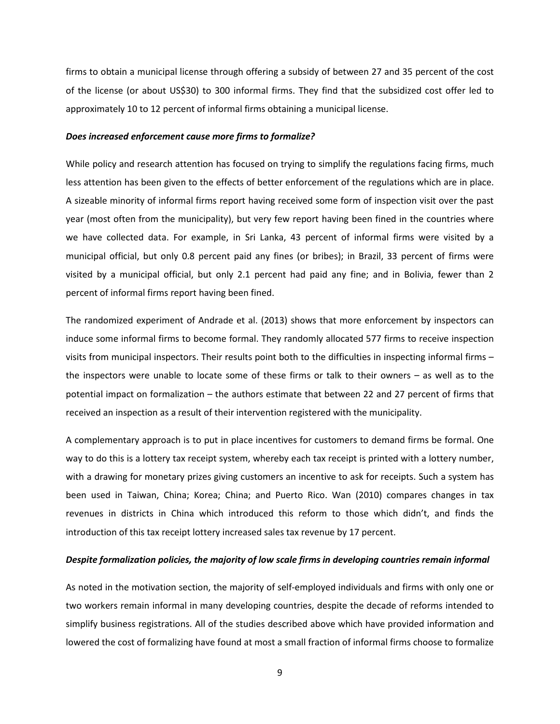firms to obtain a municipal license through offering a subsidy of between 27 and 35 percent of the cost of the license (or about US\$30) to 300 informal firms. They find that the subsidized cost offer led to approximately 10 to 12 percent of informal firms obtaining a municipal license.

#### *Does increased enforcement cause more firms to formalize?*

While policy and research attention has focused on trying to simplify the regulations facing firms, much less attention has been given to the effects of better enforcement of the regulations which are in place. A sizeable minority of informal firms report having received some form of inspection visit over the past year (most often from the municipality), but very few report having been fined in the countries where we have collected data. For example, in Sri Lanka, 43 percent of informal firms were visited by a municipal official, but only 0.8 percent paid any fines (or bribes); in Brazil, 33 percent of firms were visited by a municipal official, but only 2.1 percent had paid any fine; and in Bolivia, fewer than 2 percent of informal firms report having been fined.

The randomized experiment of Andrade et al. (2013) shows that more enforcement by inspectors can induce some informal firms to become formal. They randomly allocated 577 firms to receive inspection visits from municipal inspectors. Their results point both to the difficulties in inspecting informal firms – the inspectors were unable to locate some of these firms or talk to their owners – as well as to the potential impact on formalization – the authors estimate that between 22 and 27 percent of firms that received an inspection as a result of their intervention registered with the municipality.

A complementary approach is to put in place incentives for customers to demand firms be formal. One way to do this is a lottery tax receipt system, whereby each tax receipt is printed with a lottery number, with a drawing for monetary prizes giving customers an incentive to ask for receipts. Such a system has been used in Taiwan, China; Korea; China; and Puerto Rico. Wan (2010) compares changes in tax revenues in districts in China which introduced this reform to those which didn't, and finds the introduction of this tax receipt lottery increased sales tax revenue by 17 percent.

#### *Despite formalization policies, the majority of low scale firms in developing countries remain informal*

As noted in the motivation section, the majority of self-employed individuals and firms with only one or two workers remain informal in many developing countries, despite the decade of reforms intended to simplify business registrations. All of the studies described above which have provided information and lowered the cost of formalizing have found at most a small fraction of informal firms choose to formalize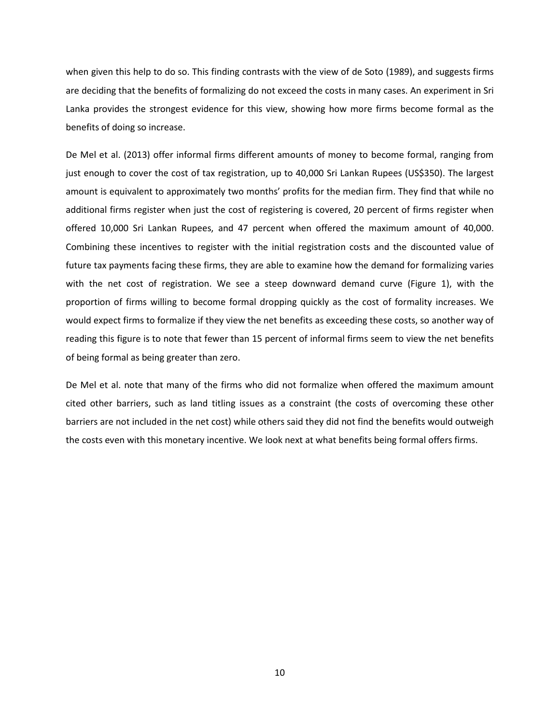when given this help to do so. This finding contrasts with the view of de Soto (1989), and suggests firms are deciding that the benefits of formalizing do not exceed the costs in many cases. An experiment in Sri Lanka provides the strongest evidence for this view, showing how more firms become formal as the benefits of doing so increase.

De Mel et al. (2013) offer informal firms different amounts of money to become formal, ranging from just enough to cover the cost of tax registration, up to 40,000 Sri Lankan Rupees (US\$350). The largest amount is equivalent to approximately two months' profits for the median firm. They find that while no additional firms register when just the cost of registering is covered, 20 percent of firms register when offered 10,000 Sri Lankan Rupees, and 47 percent when offered the maximum amount of 40,000. Combining these incentives to register with the initial registration costs and the discounted value of future tax payments facing these firms, they are able to examine how the demand for formalizing varies with the net cost of registration. We see a steep downward demand curve (Figure 1), with the proportion of firms willing to become formal dropping quickly as the cost of formality increases. We would expect firms to formalize if they view the net benefits as exceeding these costs, so another way of reading this figure is to note that fewer than 15 percent of informal firms seem to view the net benefits of being formal as being greater than zero.

De Mel et al. note that many of the firms who did not formalize when offered the maximum amount cited other barriers, such as land titling issues as a constraint (the costs of overcoming these other barriers are not included in the net cost) while others said they did not find the benefits would outweigh the costs even with this monetary incentive. We look next at what benefits being formal offers firms.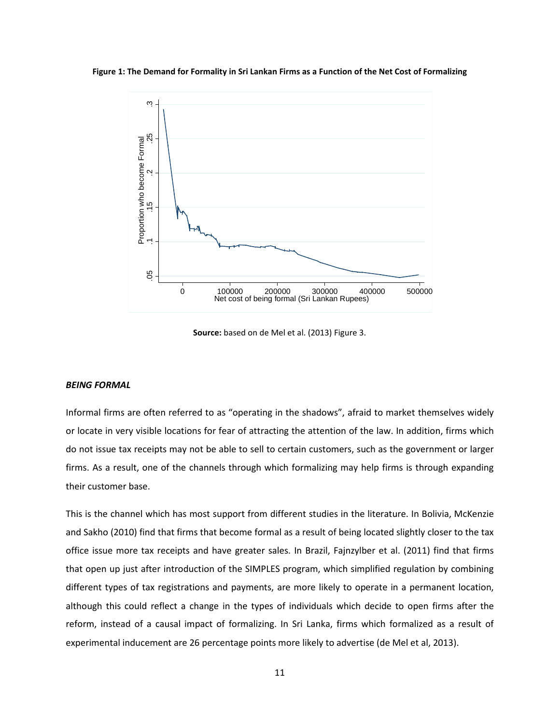**Figure 1: The Demand for Formality in Sri Lankan Firms as a Function of the Net Cost of Formalizing** 



**Source:** based on de Mel et al. (2013) Figure 3.

#### *BEING FORMAL*

Informal firms are often referred to as "operating in the shadows", afraid to market themselves widely or locate in very visible locations for fear of attracting the attention of the law. In addition, firms which do not issue tax receipts may not be able to sell to certain customers, such as the government or larger firms. As a result, one of the channels through which formalizing may help firms is through expanding their customer base.

This is the channel which has most support from different studies in the literature. In Bolivia, McKenzie and Sakho (2010) find that firms that become formal as a result of being located slightly closer to the tax office issue more tax receipts and have greater sales. In Brazil, Fajnzylber et al. (2011) find that firms that open up just after introduction of the SIMPLES program, which simplified regulation by combining different types of tax registrations and payments, are more likely to operate in a permanent location, although this could reflect a change in the types of individuals which decide to open firms after the reform, instead of a causal impact of formalizing. In Sri Lanka, firms which formalized as a result of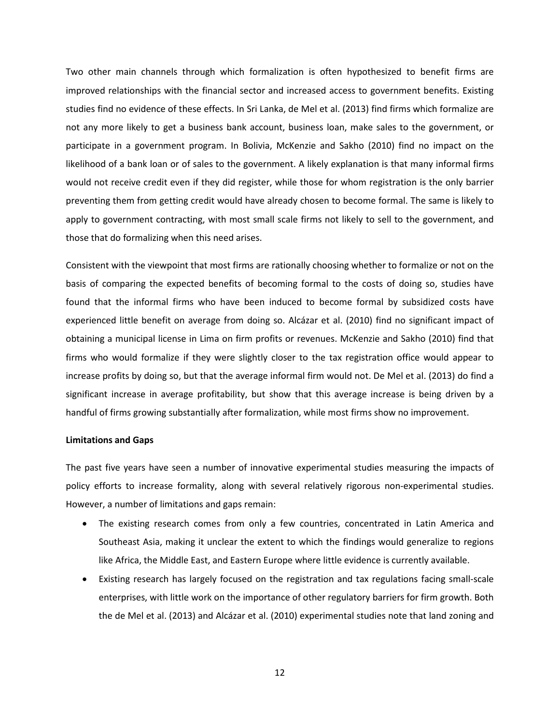Two other main channels through which formalization is often hypothesized to benefit firms are improved relationships with the financial sector and increased access to government benefits. Existing studies find no evidence of these effects. In Sri Lanka, de Mel et al. (2013) find firms which formalize are not any more likely to get a business bank account, business loan, make sales to the government, or participate in a government program. In Bolivia, McKenzie and Sakho (2010) find no impact on the likelihood of a bank loan or of sales to the government. A likely explanation is that many informal firms would not receive credit even if they did register, while those for whom registration is the only barrier preventing them from getting credit would have already chosen to become formal. The same is likely to apply to government contracting, with most small scale firms not likely to sell to the government, and those that do formalizing when this need arises.

Consistent with the viewpoint that most firms are rationally choosing whether to formalize or not on the basis of comparing the expected benefits of becoming formal to the costs of doing so, studies have found that the informal firms who have been induced to become formal by subsidized costs have experienced little benefit on average from doing so. Alcázar et al. (2010) find no significant impact of obtaining a municipal license in Lima on firm profits or revenues. McKenzie and Sakho (2010) find that firms who would formalize if they were slightly closer to the tax registration office would appear to increase profits by doing so, but that the average informal firm would not. De Mel et al. (2013) do find a significant increase in average profitability, but show that this average increase is being driven by a handful of firms growing substantially after formalization, while most firms show no improvement.

#### **Limitations and Gaps**

The past five years have seen a number of innovative experimental studies measuring the impacts of policy efforts to increase formality, along with several relatively rigorous non-experimental studies. However, a number of limitations and gaps remain:

- The existing research comes from only a few countries, concentrated in Latin America and Southeast Asia, making it unclear the extent to which the findings would generalize to regions like Africa, the Middle East, and Eastern Europe where little evidence is currently available.
- Existing research has largely focused on the registration and tax regulations facing small-scale enterprises, with little work on the importance of other regulatory barriers for firm growth. Both the de Mel et al. (2013) and Alcázar et al. (2010) experimental studies note that land zoning and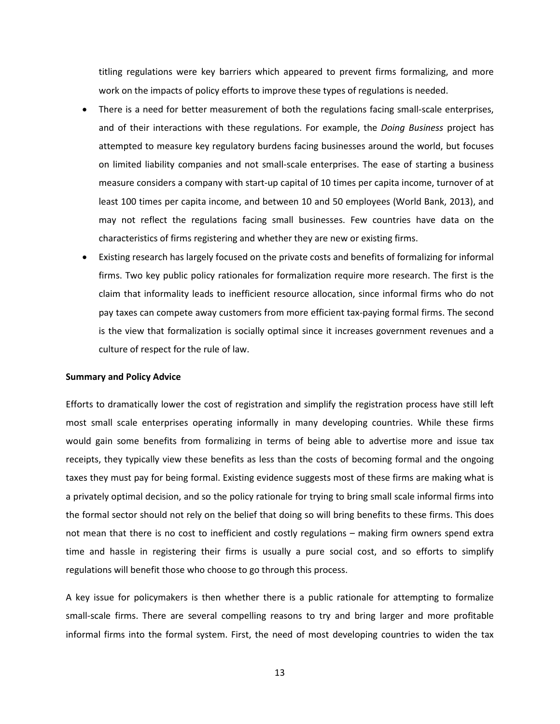titling regulations were key barriers which appeared to prevent firms formalizing, and more work on the impacts of policy efforts to improve these types of regulations is needed.

- There is a need for better measurement of both the regulations facing small-scale enterprises, and of their interactions with these regulations. For example, the *Doing Business* project has attempted to measure key regulatory burdens facing businesses around the world, but focuses on limited liability companies and not small-scale enterprises. The ease of starting a business measure considers a company with start-up capital of 10 times per capita income, turnover of at least 100 times per capita income, and between 10 and 50 employees (World Bank, 2013), and may not reflect the regulations facing small businesses. Few countries have data on the characteristics of firms registering and whether they are new or existing firms.
- Existing research has largely focused on the private costs and benefits of formalizing for informal firms. Two key public policy rationales for formalization require more research. The first is the claim that informality leads to inefficient resource allocation, since informal firms who do not pay taxes can compete away customers from more efficient tax-paying formal firms. The second is the view that formalization is socially optimal since it increases government revenues and a culture of respect for the rule of law.

#### **Summary and Policy Advice**

Efforts to dramatically lower the cost of registration and simplify the registration process have still left most small scale enterprises operating informally in many developing countries. While these firms would gain some benefits from formalizing in terms of being able to advertise more and issue tax receipts, they typically view these benefits as less than the costs of becoming formal and the ongoing taxes they must pay for being formal. Existing evidence suggests most of these firms are making what is a privately optimal decision, and so the policy rationale for trying to bring small scale informal firms into the formal sector should not rely on the belief that doing so will bring benefits to these firms. This does not mean that there is no cost to inefficient and costly regulations – making firm owners spend extra time and hassle in registering their firms is usually a pure social cost, and so efforts to simplify regulations will benefit those who choose to go through this process.

A key issue for policymakers is then whether there is a public rationale for attempting to formalize small-scale firms. There are several compelling reasons to try and bring larger and more profitable informal firms into the formal system. First, the need of most developing countries to widen the tax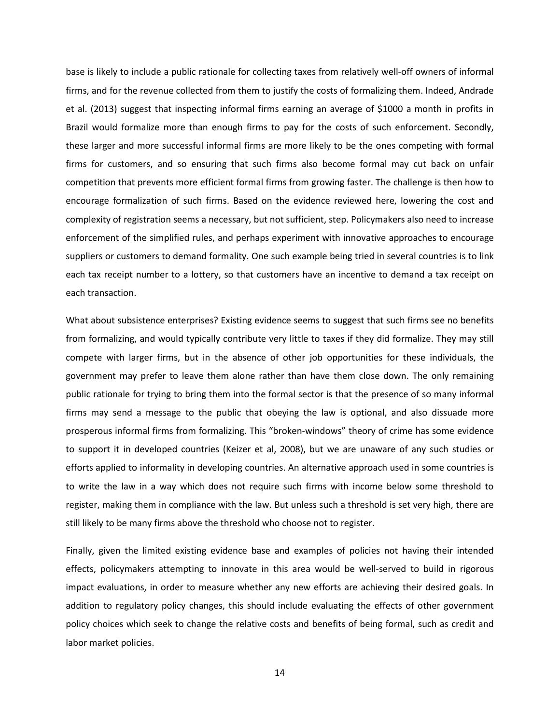base is likely to include a public rationale for collecting taxes from relatively well-off owners of informal firms, and for the revenue collected from them to justify the costs of formalizing them. Indeed, Andrade et al. (2013) suggest that inspecting informal firms earning an average of \$1000 a month in profits in Brazil would formalize more than enough firms to pay for the costs of such enforcement. Secondly, these larger and more successful informal firms are more likely to be the ones competing with formal firms for customers, and so ensuring that such firms also become formal may cut back on unfair competition that prevents more efficient formal firms from growing faster. The challenge is then how to encourage formalization of such firms. Based on the evidence reviewed here, lowering the cost and complexity of registration seems a necessary, but not sufficient, step. Policymakers also need to increase enforcement of the simplified rules, and perhaps experiment with innovative approaches to encourage suppliers or customers to demand formality. One such example being tried in several countries is to link each tax receipt number to a lottery, so that customers have an incentive to demand a tax receipt on each transaction.

What about subsistence enterprises? Existing evidence seems to suggest that such firms see no benefits from formalizing, and would typically contribute very little to taxes if they did formalize. They may still compete with larger firms, but in the absence of other job opportunities for these individuals, the government may prefer to leave them alone rather than have them close down. The only remaining public rationale for trying to bring them into the formal sector is that the presence of so many informal firms may send a message to the public that obeying the law is optional, and also dissuade more prosperous informal firms from formalizing. This "broken-windows" theory of crime has some evidence to support it in developed countries (Keizer et al, 2008), but we are unaware of any such studies or efforts applied to informality in developing countries. An alternative approach used in some countries is to write the law in a way which does not require such firms with income below some threshold to register, making them in compliance with the law. But unless such a threshold is set very high, there are still likely to be many firms above the threshold who choose not to register.

Finally, given the limited existing evidence base and examples of policies not having their intended effects, policymakers attempting to innovate in this area would be well-served to build in rigorous impact evaluations, in order to measure whether any new efforts are achieving their desired goals. In addition to regulatory policy changes, this should include evaluating the effects of other government policy choices which seek to change the relative costs and benefits of being formal, such as credit and labor market policies.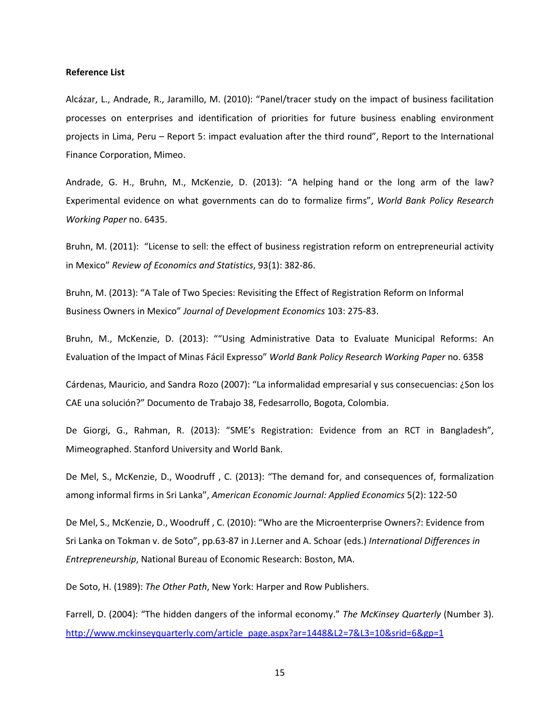#### **Reference List**

Alcázar, L., Andrade, R., Jaramillo, M. (2010): "Panel/tracer study on the impact of business facilitation processes on enterprises and identification of priorities for future business enabling environment projects in Lima, Peru – Report 5: impact evaluation after the third round", Report to the International Finance Corporation, Mimeo.

Andrade, G. H., Bruhn, M., McKenzie, D. (2013): "A helping hand or the long arm of the law? Experimental evidence on what governments can do to formalize firms", *World Bank Policy Research Working Paper* no. 6435.

Bruhn, M. (2011): "License to sell: the effect of business registration reform on entrepreneurial activity in Mexico" *Review of Economics and Statistics*, 93(1): 382-86.

Bruhn, M. (2013): "A Tale of Two Species: Revisiting the Effect of Registration Reform on Informal Business Owners in Mexico" *Journal of Development Economics* 103: 275-83.

Bruhn, M., McKenzie, D. (2013): ""Using Administrative Data to Evaluate Municipal Reforms: An Evaluation of the Impact of Minas Fácil Expresso" *World Bank Policy Research Working Paper* no. 6358

Cárdenas, Mauricio, and Sandra Rozo (2007): "La informalidad empresarial y sus consecuencias: ¿Son los CAE una solución?" Documento de Trabajo 38, Fedesarrollo, Bogota, Colombia.

De Giorgi, G., Rahman, R. (2013): "SME's Registration: Evidence from an RCT in Bangladesh", Mimeographed. Stanford University and World Bank.

De Mel, S., McKenzie, D., Woodruff , C. (2013): "The demand for, and consequences of, formalization among informal firms in Sri Lanka", *American Economic Journal: Applied Economics* 5(2): 122-50

De Mel, S., McKenzie, D., Woodruff , C. (2010): "Who are the Microenterprise Owners?: Evidence from Sri Lanka on Tokman v. de Soto", pp.63-87 in J.Lerner and A. Schoar (eds.) *International Differences in Entrepreneurship*, National Bureau of Economic Research: Boston, MA.

De Soto, H. (1989): *The Other Path*, New York: Harper and Row Publishers.

Farrell, D. (2004): "The hidden dangers of the informal economy." *The McKinsey Quarterly* (Number 3). [http://www.mckinseyquarterly.com/article\\_page.aspx?ar=1448&L2=7&L3=10&srid=6&gp=1](http://www.mckinseyquarterly.com/article_page.aspx?ar=1448&L2=7&L3=10&srid=6&gp=1)